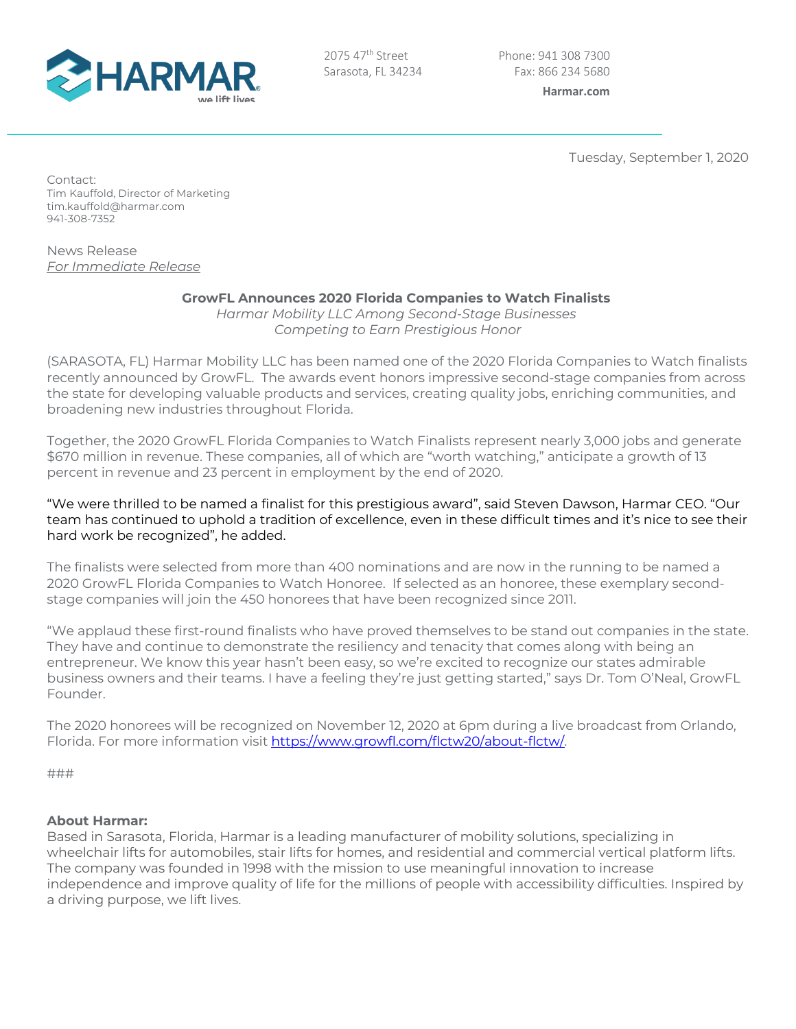

2075 47<sup>th</sup> Street Sarasota, FL 34234

Tuesday, September 1, 2020

Contact: Tim Kauffold, Director of Marketing tim.kauffold@harmar.com 941-308-7352

News Release *For Immediate Release*

## **GrowFL Announces 2020 Florida Companies to Watch Finalists**

*Harmar Mobility LLC Among Second-Stage Businesses Competing to Earn Prestigious Honor*

(SARASOTA, FL) Harmar Mobility LLC has been named one of the 2020 Florida Companies to Watch finalists recently announced by GrowFL. The awards event honors impressive second-stage companies from across the state for developing valuable products and services, creating quality jobs, enriching communities, and broadening new industries throughout Florida.

Together, the 2020 GrowFL Florida Companies to Watch Finalists represent nearly 3,000 jobs and generate \$670 million in revenue. These companies, all of which are "worth watching," anticipate a growth of 13 percent in revenue and 23 percent in employment by the end of 2020.

"We were thrilled to be named a finalist for this prestigious award", said Steven Dawson, Harmar CEO. "Our team has continued to uphold a tradition of excellence, even in these difficult times and it's nice to see their hard work be recognized", he added.

The finalists were selected from more than 400 nominations and are now in the running to be named a 2020 GrowFL Florida Companies to Watch Honoree. If selected as an honoree, these exemplary secondstage companies will join the 450 honorees that have been recognized since 2011.

"We applaud these first-round finalists who have proved themselves to be stand out companies in the state. They have and continue to demonstrate the resiliency and tenacity that comes along with being an entrepreneur. We know this year hasn't been easy, so we're excited to recognize our states admirable business owners and their teams. I have a feeling they're just getting started," says Dr. Tom O'Neal, GrowFL Founder.

The 2020 honorees will be recognized on November 12, 2020 at 6pm during a live broadcast from Orlando, Florida. For more information visit https://www.growfl.com/flctw20/about-flctw/.

###

## **About Harmar:**

Based in Sarasota, Florida, Harmar is a leading manufacturer of mobility solutions, specializing in wheelchair lifts for automobiles, stair lifts for homes, and residential and commercial vertical platform lifts. The company was founded in 1998 with the mission to use meaningful innovation to increase independence and improve quality of life for the millions of people with accessibility difficulties. Inspired by a driving purpose, we lift lives.